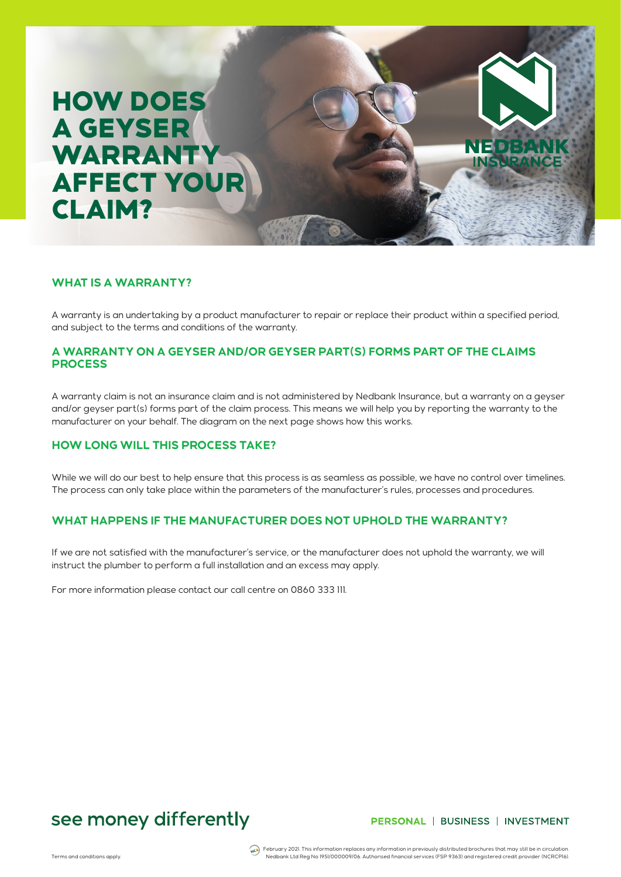# HOW DOES A GEYSER WARRANTY AFFECT YOUR CLAIM?

### **WHAT IS A WARRANTY?**

A warranty is an undertaking by a product manufacturer to repair or replace their product within a specified period, and subject to the terms and conditions of the warranty.

### **A WARRANTY ON A GEYSER AND/OR GEYSER PART(S) FORMS PART OF THE CLAIMS PROCESS**

A warranty claim is not an insurance claim and is not administered by Nedbank Insurance, but a warranty on a geyser and/or geyser part(s) forms part of the claim process. This means we will help you by reporting the warranty to the manufacturer on your behalf. The diagram on the next page shows how this works.

### **HOW LONG WILL THIS PROCESS TAKE?**

While we will do our best to help ensure that this process is as seamless as possible, we have no control over timelines. The process can only take place within the parameters of the manufacturer's rules, processes and procedures.

## **WHAT HAPPENS IF THE MANUFACTURER DOES NOT UPHOLD THE WARRANTY?**

If we are not satisfied with the manufacturer's service, or the manufacturer does not uphold the warranty, we will instruct the plumber to perform a full installation and an excess may apply.

For more information please contact our call centre on 0860 333 111.

# see money differently

### PERSONAL | BUSINESS | INVESTMENT